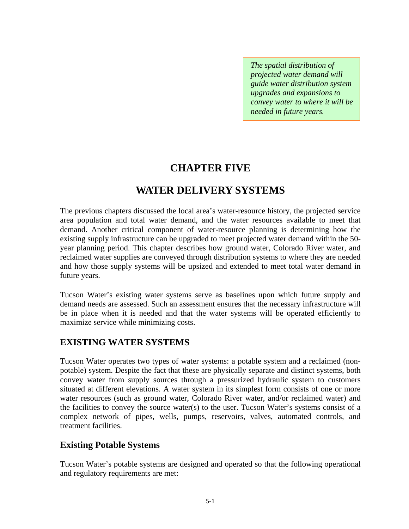*The spatial distribution of projected water demand will guide water distribution system upgrades and expansions to convey water to where it will be needed in future years.* 

# **CHAPTER FIVE**

# **WATER DELIVERY SYSTEMS**

The previous chapters discussed the local area's water-resource history, the projected service area population and total water demand, and the water resources available to meet that demand. Another critical component of water-resource planning is determining how the existing supply infrastructure can be upgraded to meet projected water demand within the 50 year planning period. This chapter describes how ground water, Colorado River water, and reclaimed water supplies are conveyed through distribution systems to where they are needed and how those supply systems will be upsized and extended to meet total water demand in future years.

Tucson Water's existing water systems serve as baselines upon which future supply and demand needs are assessed. Such an assessment ensures that the necessary infrastructure will be in place when it is needed and that the water systems will be operated efficiently to maximize service while minimizing costs.

## **EXISTING WATER SYSTEMS**

Tucson Water operates two types of water systems: a potable system and a reclaimed (nonpotable) system. Despite the fact that these are physically separate and distinct systems, both convey water from supply sources through a pressurized hydraulic system to customers situated at different elevations. A water system in its simplest form consists of one or more water resources (such as ground water, Colorado River water, and/or reclaimed water) and the facilities to convey the source water(s) to the user. Tucson Water's systems consist of a complex network of pipes, wells, pumps, reservoirs, valves, automated controls, and treatment facilities.

## **Existing Potable Systems**

Tucson Water's potable systems are designed and operated so that the following operational and regulatory requirements are met: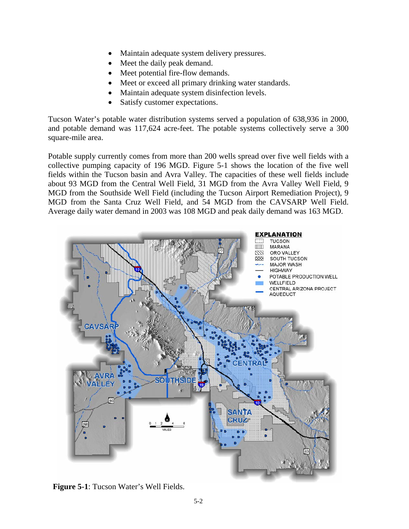- Maintain adequate system delivery pressures.
- Meet the daily peak demand.
- Meet potential fire-flow demands.
- Meet or exceed all primary drinking water standards.
- Maintain adequate system disinfection levels.
- Satisfy customer expectations.

Tucson Water's potable water distribution systems served a population of 638,936 in 2000, and potable demand was 117,624 acre-feet. The potable systems collectively serve a 300 square-mile area.

Potable supply currently comes from more than 200 wells spread over five well fields with a collective pumping capacity of 196 MGD. Figure 5-1 shows the location of the five well fields within the Tucson basin and Avra Valley. The capacities of these well fields include about 93 MGD from the Central Well Field, 31 MGD from the Avra Valley Well Field, 9 MGD from the Southside Well Field (including the Tucson Airport Remediation Project), 9 MGD from the Santa Cruz Well Field, and 54 MGD from the CAVSARP Well Field. Average daily water demand in 2003 was 108 MGD and peak daily demand was 163 MGD.



**Figure 5-1**: Tucson Water's Well Fields.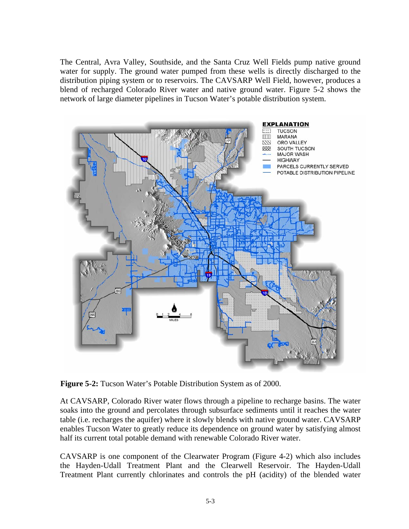The Central, Avra Valley, Southside, and the Santa Cruz Well Fields pump native ground water for supply. The ground water pumped from these wells is directly discharged to the distribution piping system or to reservoirs. The CAVSARP Well Field, however, produces a blend of recharged Colorado River water and native ground water. Figure 5-2 shows the network of large diameter pipelines in Tucson Water's potable distribution system.



**Figure 5-2:** Tucson Water's Potable Distribution System as of 2000.

At CAVSARP, Colorado River water flows through a pipeline to recharge basins. The water soaks into the ground and percolates through subsurface sediments until it reaches the water table (i.e. recharges the aquifer) where it slowly blends with native ground water. CAVSARP enables Tucson Water to greatly reduce its dependence on ground water by satisfying almost half its current total potable demand with renewable Colorado River water.

CAVSARP is one component of the Clearwater Program (Figure 4-2) which also includes the Hayden-Udall Treatment Plant and the Clearwell Reservoir. The Hayden-Udall Treatment Plant currently chlorinates and controls the pH (acidity) of the blended water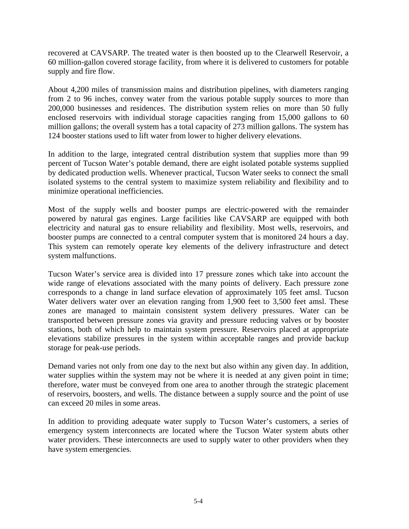recovered at CAVSARP. The treated water is then boosted up to the Clearwell Reservoir, a 60 million-gallon covered storage facility, from where it is delivered to customers for potable supply and fire flow.

About 4,200 miles of transmission mains and distribution pipelines, with diameters ranging from 2 to 96 inches, convey water from the various potable supply sources to more than 200,000 businesses and residences. The distribution system relies on more than 50 fully enclosed reservoirs with individual storage capacities ranging from 15,000 gallons to 60 million gallons; the overall system has a total capacity of 273 million gallons. The system has 124 booster stations used to lift water from lower to higher delivery elevations.

In addition to the large, integrated central distribution system that supplies more than 99 percent of Tucson Water's potable demand, there are eight isolated potable systems supplied by dedicated production wells. Whenever practical, Tucson Water seeks to connect the small isolated systems to the central system to maximize system reliability and flexibility and to minimize operational inefficiencies.

Most of the supply wells and booster pumps are electric-powered with the remainder powered by natural gas engines. Large facilities like CAVSARP are equipped with both electricity and natural gas to ensure reliability and flexibility. Most wells, reservoirs, and booster pumps are connected to a central computer system that is monitored 24 hours a day. This system can remotely operate key elements of the delivery infrastructure and detect system malfunctions.

Tucson Water's service area is divided into 17 pressure zones which take into account the wide range of elevations associated with the many points of delivery. Each pressure zone corresponds to a change in land surface elevation of approximately 105 feet amsl. Tucson Water delivers water over an elevation ranging from 1,900 feet to 3,500 feet amsl. These zones are managed to maintain consistent system delivery pressures. Water can be transported between pressure zones via gravity and pressure reducing valves or by booster stations, both of which help to maintain system pressure. Reservoirs placed at appropriate elevations stabilize pressures in the system within acceptable ranges and provide backup storage for peak-use periods.

Demand varies not only from one day to the next but also within any given day. In addition, water supplies within the system may not be where it is needed at any given point in time; therefore, water must be conveyed from one area to another through the strategic placement of reservoirs, boosters, and wells. The distance between a supply source and the point of use can exceed 20 miles in some areas.

In addition to providing adequate water supply to Tucson Water's customers, a series of emergency system interconnects are located where the Tucson Water system abuts other water providers. These interconnects are used to supply water to other providers when they have system emergencies.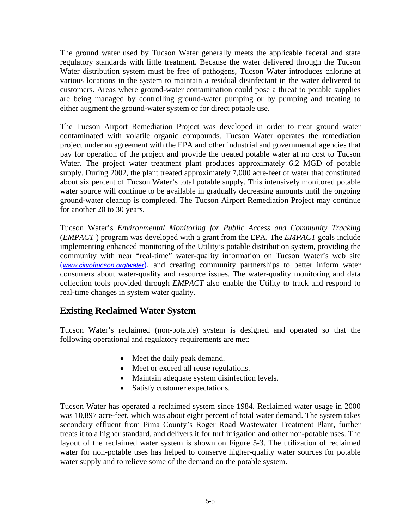The ground water used by Tucson Water generally meets the applicable federal and state regulatory standards with little treatment. Because the water delivered through the Tucson Water distribution system must be free of pathogens, Tucson Water introduces chlorine at various locations in the system to maintain a residual disinfectant in the water delivered to customers. Areas where ground-water contamination could pose a threat to potable supplies are being managed by controlling ground-water pumping or by pumping and treating to either augment the ground-water system or for direct potable use.

The Tucson Airport Remediation Project was developed in order to treat ground water contaminated with volatile organic compounds. Tucson Water operates the remediation project under an agreement with the EPA and other industrial and governmental agencies that pay for operation of the project and provide the treated potable water at no cost to Tucson Water. The project water treatment plant produces approximately 6.2 MGD of potable supply. During 2002, the plant treated approximately 7,000 acre-feet of water that constituted about six percent of Tucson Water's total potable supply. This intensively monitored potable water source will continue to be available in gradually decreasing amounts until the ongoing ground-water cleanup is completed. The Tucson Airport Remediation Project may continue for another 20 to 30 years.

Tucson Water's *Environmental Monitoring for Public Access and Community Tracking*  (*EMPACT* ) program was developed with a grant from the EPA. The *EMPACT* goals include implementing enhanced monitoring of the Utility's potable distribution system, providing the community with near "real-time" water-quality information on Tucson Water's web site (*www.cityoftucson.org/water*), and creating community partnerships to better inform water consumers about water-quality and resource issues. The water-quality monitoring and data collection tools provided through *EMPACT* also enable the Utility to track and respond to real-time changes in system water quality.

#### **Existing Reclaimed Water System**

Tucson Water's reclaimed (non-potable) system is designed and operated so that the following operational and regulatory requirements are met:

- Meet the daily peak demand.
- Meet or exceed all reuse regulations.
- Maintain adequate system disinfection levels.
- Satisfy customer expectations.

Tucson Water has operated a reclaimed system since 1984. Reclaimed water usage in 2000 was 10,897 acre-feet, which was about eight percent of total water demand. The system takes secondary effluent from Pima County's Roger Road Wastewater Treatment Plant, further treats it to a higher standard, and delivers it for turf irrigation and other non-potable uses. The layout of the reclaimed water system is shown on Figure 5-3. The utilization of reclaimed water for non-potable uses has helped to conserve higher-quality water sources for potable water supply and to relieve some of the demand on the potable system.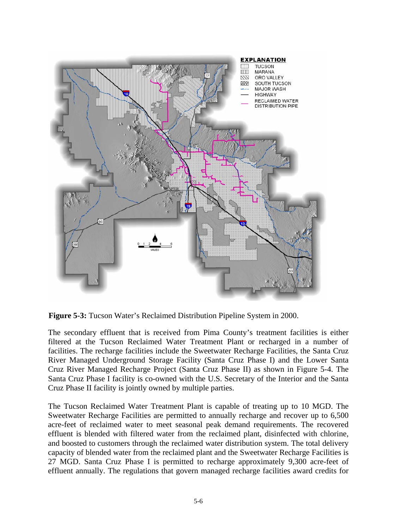

**Figure 5-3:** Tucson Water's Reclaimed Distribution Pipeline System in 2000.

The secondary effluent that is received from Pima County's treatment facilities is either filtered at the Tucson Reclaimed Water Treatment Plant or recharged in a number of facilities. The recharge facilities include the Sweetwater Recharge Facilities, the Santa Cruz River Managed Underground Storage Facility (Santa Cruz Phase I) and the Lower Santa Cruz River Managed Recharge Project (Santa Cruz Phase II) as shown in Figure 5-4. The Santa Cruz Phase I facility is co-owned with the U.S. Secretary of the Interior and the Santa Cruz Phase II facility is jointly owned by multiple parties.

The Tucson Reclaimed Water Treatment Plant is capable of treating up to 10 MGD. The Sweetwater Recharge Facilities are permitted to annually recharge and recover up to 6,500 acre-feet of reclaimed water to meet seasonal peak demand requirements. The recovered effluent is blended with filtered water from the reclaimed plant, disinfected with chlorine, and boosted to customers through the reclaimed water distribution system. The total delivery capacity of blended water from the reclaimed plant and the Sweetwater Recharge Facilities is 27 MGD. Santa Cruz Phase I is permitted to recharge approximately 9,300 acre-feet of effluent annually. The regulations that govern managed recharge facilities award credits for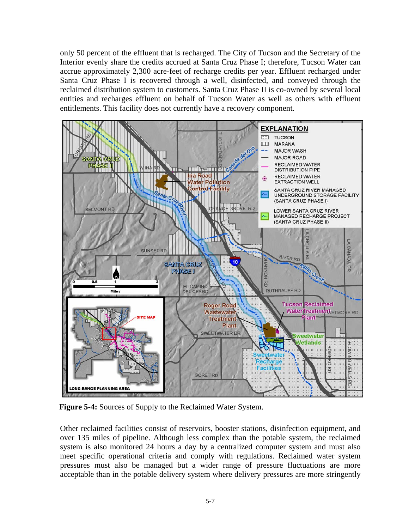only 50 percent of the effluent that is recharged. The City of Tucson and the Secretary of the Interior evenly share the credits accrued at Santa Cruz Phase I; therefore, Tucson Water can accrue approximately 2,300 acre-feet of recharge credits per year. Effluent recharged under Santa Cruz Phase I is recovered through a well, disinfected, and conveyed through the reclaimed distribution system to customers. Santa Cruz Phase II is co-owned by several local entities and recharges effluent on behalf of Tucson Water as well as others with effluent entitlements. This facility does not currently have a recovery component.



**Figure 5-4:** Sources of Supply to the Reclaimed Water System.

Other reclaimed facilities consist of reservoirs, booster stations, disinfection equipment, and over 135 miles of pipeline*.* Although less complex than the potable system, the reclaimed system is also monitored 24 hours a day by a centralized computer system and must also meet specific operational criteria and comply with regulations. Reclaimed water system pressures must also be managed but a wider range of pressure fluctuations are more acceptable than in the potable delivery system where delivery pressures are more stringently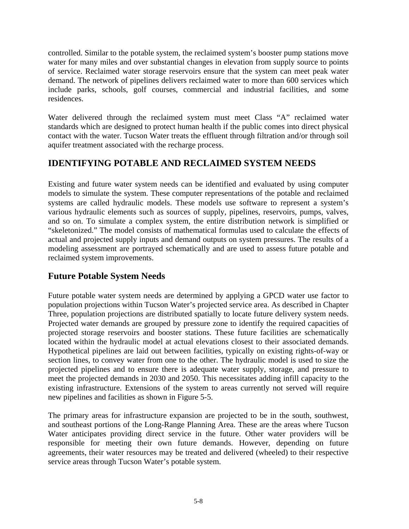controlled. Similar to the potable system, the reclaimed system's booster pump stations move water for many miles and over substantial changes in elevation from supply source to points of service. Reclaimed water storage reservoirs ensure that the system can meet peak water demand. The network of pipelines delivers reclaimed water to more than 600 services which include parks, schools, golf courses, commercial and industrial facilities, and some residences.

Water delivered through the reclaimed system must meet Class "A" reclaimed water standards which are designed to protect human health if the public comes into direct physical contact with the water. Tucson Water treats the effluent through filtration and/or through soil aquifer treatment associated with the recharge process.

## **IDENTIFYING POTABLE AND RECLAIMED SYSTEM NEEDS**

Existing and future water system needs can be identified and evaluated by using computer models to simulate the system. These computer representations of the potable and reclaimed systems are called hydraulic models. These models use software to represent a system's various hydraulic elements such as sources of supply, pipelines, reservoirs, pumps, valves, and so on. To simulate a complex system, the entire distribution network is simplified or "skeletonized." The model consists of mathematical formulas used to calculate the effects of actual and projected supply inputs and demand outputs on system pressures. The results of a modeling assessment are portrayed schematically and are used to assess future potable and reclaimed system improvements.

## **Future Potable System Needs**

Future potable water system needs are determined by applying a GPCD water use factor to population projections within Tucson Water's projected service area. As described in Chapter Three, population projections are distributed spatially to locate future delivery system needs. Projected water demands are grouped by pressure zone to identify the required capacities of projected storage reservoirs and booster stations. These future facilities are schematically located within the hydraulic model at actual elevations closest to their associated demands. Hypothetical pipelines are laid out between facilities, typically on existing rights-of-way or section lines, to convey water from one to the other. The hydraulic model is used to size the projected pipelines and to ensure there is adequate water supply, storage, and pressure to meet the projected demands in 2030 and 2050. This necessitates adding infill capacity to the existing infrastructure. Extensions of the system to areas currently not served will require new pipelines and facilities as shown in Figure 5-5.

The primary areas for infrastructure expansion are projected to be in the south, southwest, and southeast portions of the Long-Range Planning Area. These are the areas where Tucson Water anticipates providing direct service in the future. Other water providers will be responsible for meeting their own future demands. However, depending on future agreements, their water resources may be treated and delivered (wheeled) to their respective service areas through Tucson Water's potable system.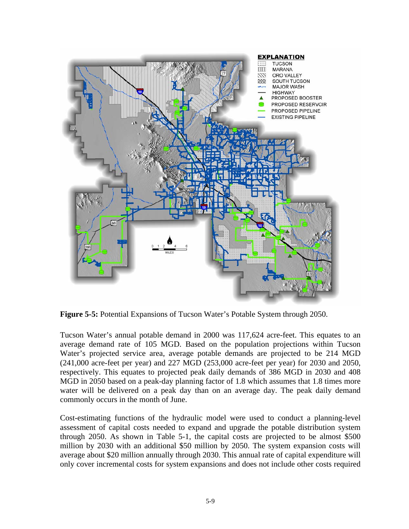

**Figure 5-5:** Potential Expansions of Tucson Water's Potable System through 2050.

Tucson Water's annual potable demand in 2000 was 117,624 acre-feet. This equates to an average demand rate of 105 MGD. Based on the population projections within Tucson Water's projected service area, average potable demands are projected to be 214 MGD (241,000 acre-feet per year) and 227 MGD (253,000 acre-feet per year) for 2030 and 2050, respectively. This equates to projected peak daily demands of 386 MGD in 2030 and 408 MGD in 2050 based on a peak-day planning factor of 1.8 which assumes that 1.8 times more water will be delivered on a peak day than on an average day. The peak daily demand commonly occurs in the month of June.

Cost-estimating functions of the hydraulic model were used to conduct a planning-level assessment of capital costs needed to expand and upgrade the potable distribution system through 2050. As shown in Table 5-1, the capital costs are projected to be almost \$500 million by 2030 with an additional \$50 million by 2050. The system expansion costs will average about \$20 million annually through 2030. This annual rate of capital expenditure will only cover incremental costs for system expansions and does not include other costs required